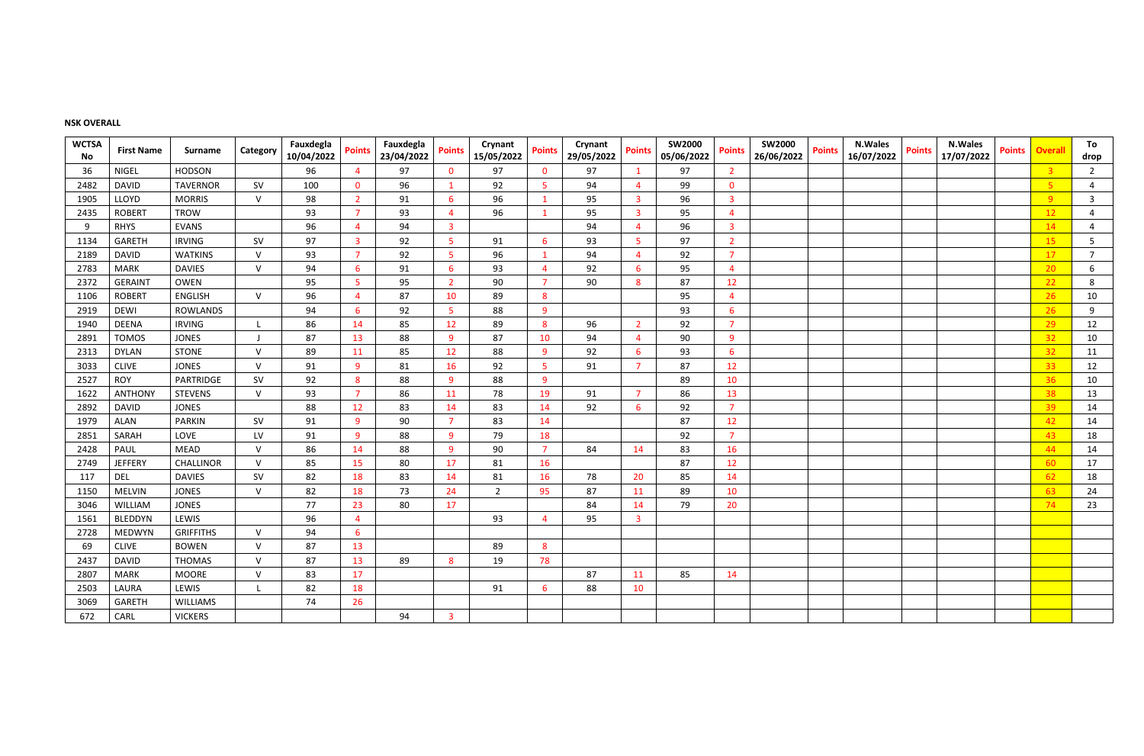## **NSK OVERALL**

| <b>WCTSA</b><br>No | <b>First Name</b> | <b>Surname</b>   | Category  | Fauxdegla<br>10/04/2022 | <b>Points</b>           | Fauxdegla<br>23/04/2022 | <b>Points</b>  | Crynant<br>15/05/2022 | <b>Points</b>  | Crynant<br>29/05/2022 | <b>Points</b>           | <b>SW2000</b><br>05/06/2022 | <b>Points</b>  | <b>SW2000</b><br>26/06/2022 | <b>Points</b> | <b>N.Wales</b><br>16/07/2022 | <b>Points</b> | <b>N.Wales</b><br>17/07/2022 | <b>Points</b> | <b>Overall</b>  | To<br>drop     |
|--------------------|-------------------|------------------|-----------|-------------------------|-------------------------|-------------------------|----------------|-----------------------|----------------|-----------------------|-------------------------|-----------------------------|----------------|-----------------------------|---------------|------------------------------|---------------|------------------------------|---------------|-----------------|----------------|
| 36                 | <b>NIGEL</b>      | <b>HODSON</b>    |           | 96                      | $\overline{4}$          | 97                      | $\mathbf 0$    | 97                    | $\mathbf 0$    | 97                    |                         | 97                          | $\overline{2}$ |                             |               |                              |               |                              |               | $\overline{3}$  | $\overline{2}$ |
| 2482               | <b>DAVID</b>      | <b>TAVERNOR</b>  | <b>SV</b> | 100                     | $\mathbf{0}$            | 96                      |                | 92                    | 5 <sup>5</sup> | 94                    | $\overline{4}$          | 99                          | $\mathbf{0}$   |                             |               |                              |               |                              |               | 5 <sub>o</sub>  | 4              |
| 1905               | LLOYD             | <b>MORRIS</b>    | $\vee$    | 98                      | $\overline{2}$          | 91                      | 6              | 96                    | 1              | 95                    | $\overline{\mathbf{3}}$ | 96                          | -3             |                             |               |                              |               |                              |               | 9               | $\mathbf{3}$   |
| 2435               | <b>ROBERT</b>     | <b>TROW</b>      |           | 93                      | $\overline{7}$          | 93                      |                | 96                    | $\mathbf{1}$   | 95                    | 3                       | 95                          | $\overline{a}$ |                             |               |                              |               |                              |               | 12              | 4              |
|                    | <b>RHYS</b>       | <b>EVANS</b>     |           | 96                      | 4                       | 94                      | -3             |                       |                | 94                    |                         | 96                          | -3             |                             |               |                              |               |                              |               | 14              | 4              |
| 1134               | <b>GARETH</b>     | <b>IRVING</b>    | <b>SV</b> | 97                      | $\overline{\mathbf{3}}$ | 92                      | -5             | 91                    | 6              | 93                    | $\overline{\mathbf{5}}$ | 97                          | $\overline{2}$ |                             |               |                              |               |                              |               | <b>15</b>       | 5              |
| 2189               | <b>DAVID</b>      | <b>WATKINS</b>   | $\vee$    | 93                      | -7                      | 92                      | -5             | 96                    | $\mathbf{1}$   | 94                    | $\overline{4}$          | 92                          | 7              |                             |               |                              |               |                              |               | 17              | $\overline{7}$ |
| 2783               | <b>MARK</b>       | <b>DAVIES</b>    | $\vee$    | 94                      | 6                       | 91                      | 6              | 93                    | $\overline{4}$ | 92                    | 6                       | 95                          | $\overline{a}$ |                             |               |                              |               |                              |               | 20 <sub>2</sub> | 6              |
| 2372               | <b>GERAINT</b>    | OWEN             |           | 95                      | 5                       | 95                      |                | 90                    | $\overline{7}$ | 90                    | 8                       | 87                          | 12             |                             |               |                              |               |                              |               | 22              | 8              |
| 1106               | <b>ROBERT</b>     | <b>ENGLISH</b>   | $\vee$    | 96                      | $\overline{4}$          | 87                      | 10             | 89                    | 8              |                       |                         | 95                          | $\overline{a}$ |                             |               |                              |               |                              |               | 26              | 10             |
| 2919               | <b>DEWI</b>       | <b>ROWLANDS</b>  |           | 94                      | 6                       | 92                      | -5             | 88                    | 9              |                       |                         | 93                          | 6              |                             |               |                              |               |                              |               | 26              | 9              |
| 1940               | <b>DEENA</b>      | <b>IRVING</b>    |           | 86                      | 14                      | 85                      | 12             | 89                    | 8              | 96                    | $\overline{2}$          | 92                          | -7             |                             |               |                              |               |                              |               | 29              | 12             |
| 2891               | <b>TOMOS</b>      | <b>JONES</b>     |           | 87                      | 13                      | 88                      | 9              | 87                    | 10             | 94                    | $\overline{4}$          | 90                          | 9              |                             |               |                              |               |                              |               | 32              | 10             |
| 2313               | <b>DYLAN</b>      | <b>STONE</b>     | $\vee$    | 89                      | 11                      | 85                      | 12             | 88                    | 9              | 92                    | 6                       | 93                          | 6              |                             |               |                              |               |                              |               | 32              | 11             |
| 3033               | <b>CLIVE</b>      | <b>JONES</b>     | $\vee$    | 91                      | 9                       | 81                      | 16             | 92                    | 5 <sub>o</sub> | 91                    | 7                       | 87                          | 12             |                             |               |                              |               |                              |               | 33              | 12             |
| 2527               | <b>ROY</b>        | PARTRIDGE        | <b>SV</b> | 92                      | 8                       | 88                      | -9             | 88                    | 9              |                       |                         | 89                          | 10             |                             |               |                              |               |                              |               | 36              | 10             |
| 1622               | <b>ANTHONY</b>    | <b>STEVENS</b>   | $\vee$    | 93                      | -7                      | 86                      | 11             | 78                    | 19             | 91                    | -7                      | 86                          | 13             |                             |               |                              |               |                              |               | 38              | 13             |
| 2892               | <b>DAVID</b>      | <b>JONES</b>     |           | 88                      | 12                      | 83                      | 14             | 83                    | 14             | 92                    | 6                       | 92                          | -7             |                             |               |                              |               |                              |               | 39              | 14             |
| 1979               | ALAN              | <b>PARKIN</b>    | <b>SV</b> | 91                      | 9                       | 90                      |                | 83                    | 14             |                       |                         | 87                          | 12             |                             |               |                              |               |                              |               | 42              | 14             |
| 2851               | SARAH             | LOVE             | LV        | 91                      | 9                       | 88                      | <sub>q</sub>   | 79                    | 18             |                       |                         | 92                          | -7             |                             |               |                              |               |                              |               | 43              | 18             |
| 2428               | PAUL              | <b>MEAD</b>      | $\vee$    | 86                      | 14                      | 88                      | <sub>q</sub>   | 90                    | $\overline{7}$ | 84                    | 14                      | 83                          | 16             |                             |               |                              |               |                              |               | 44              | 14             |
| 2749               | <b>JEFFERY</b>    | <b>CHALLINOR</b> | $\vee$    | 85                      | 15                      | 80                      | 17             | 81                    | 16             |                       |                         | 87                          | 12             |                             |               |                              |               |                              |               | 60              | 17             |
| 117                | <b>DEL</b>        | <b>DAVIES</b>    | <b>SV</b> | 82                      | 18                      | 83                      | 14             | 81                    | 16             | 78                    | 20                      | 85                          | 14             |                             |               |                              |               |                              |               | 62              | 18             |
| 1150               | <b>MELVIN</b>     | <b>JONES</b>     | $\vee$    | 82                      | 18                      | 73                      | 24             | $\overline{2}$        | 95             | 87                    | 11                      | 89                          | 10             |                             |               |                              |               |                              |               | 63              | 24             |
| 3046               | WILLIAM           | <b>JONES</b>     |           | 77                      | 23                      | 80                      | 17             |                       |                | 84                    | 14                      | 79                          | 20             |                             |               |                              |               |                              |               | 74              | 23             |
| 1561               | <b>BLEDDYN</b>    | LEWIS            |           | 96                      | $\overline{4}$          |                         |                | 93                    | 4              | 95                    | $\overline{3}$          |                             |                |                             |               |                              |               |                              |               |                 |                |
| 2728               | <b>MEDWYN</b>     | <b>GRIFFITHS</b> | $\vee$    | 94                      | 6                       |                         |                |                       |                |                       |                         |                             |                |                             |               |                              |               |                              |               |                 |                |
| 69                 | <b>CLIVE</b>      | <b>BOWEN</b>     | $\vee$    | 87                      | 13                      |                         |                | 89                    | 8              |                       |                         |                             |                |                             |               |                              |               |                              |               |                 |                |
| 2437               | <b>DAVID</b>      | <b>THOMAS</b>    | $\vee$    | 87                      | 13                      | 89                      | 8              | 19                    | 78             |                       |                         |                             |                |                             |               |                              |               |                              |               |                 |                |
| 2807               | <b>MARK</b>       | <b>MOORE</b>     | $\vee$    | 83                      | 17                      |                         |                |                       |                | 87                    | 11                      | 85                          | 14             |                             |               |                              |               |                              |               |                 |                |
| 2503               | LAURA             | LEWIS            |           | 82                      | 18                      |                         |                | 91                    | 6              | 88                    | 10                      |                             |                |                             |               |                              |               |                              |               |                 |                |
| 3069               | <b>GARETH</b>     | WILLIAMS         |           | 74                      | 26                      |                         |                |                       |                |                       |                         |                             |                |                             |               |                              |               |                              |               |                 |                |
| 672                | CARL              | <b>VICKERS</b>   |           |                         |                         | 94                      | $\overline{3}$ |                       |                |                       |                         |                             |                |                             |               |                              |               |                              |               |                 |                |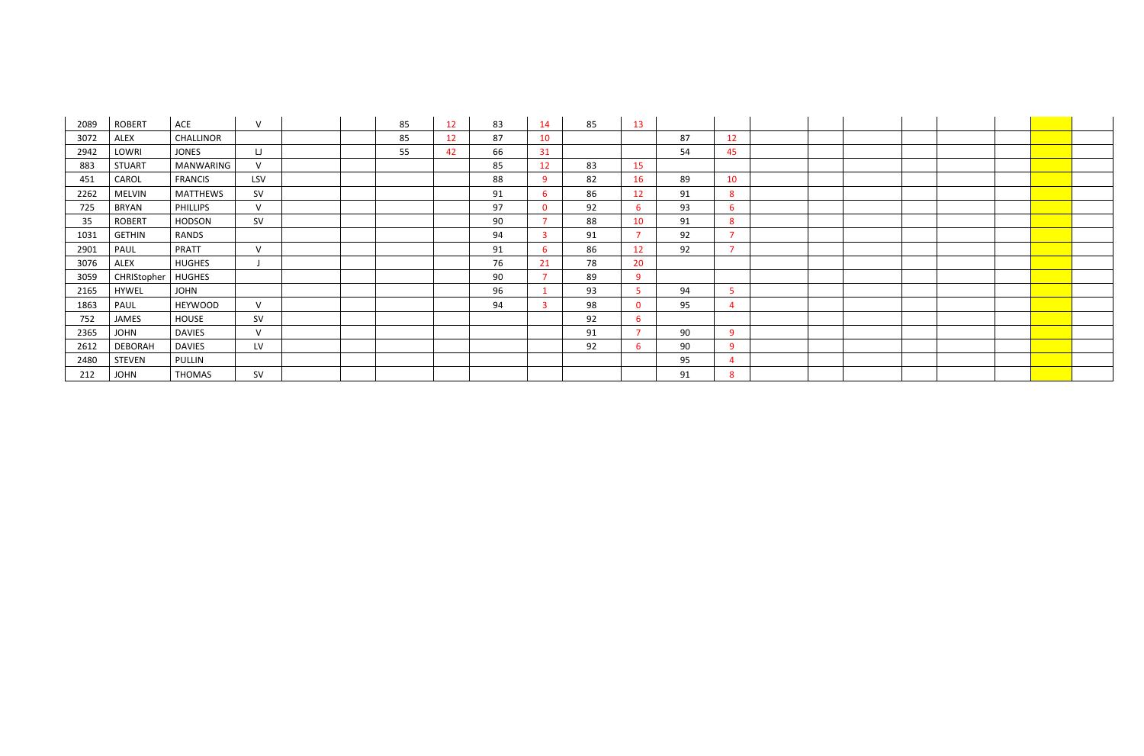| 2089 | <b>ROBERT</b>  | ACE             | V          | 85 | 12 | 83 | 14             | 85 | 13              |    |              |  |  |  |
|------|----------------|-----------------|------------|----|----|----|----------------|----|-----------------|----|--------------|--|--|--|
| 3072 | ALEX           | CHALLINOR       |            | 85 | 12 | 87 | 10             |    |                 | 87 | 12           |  |  |  |
| 2942 | LOWRI          | <b>JONES</b>    | $\Box$     | 55 | 42 | 66 | 31             |    |                 | 54 | 45           |  |  |  |
| 883  | <b>STUART</b>  | MANWARING       | $\vee$     |    |    | 85 | 12             | 83 | 15              |    |              |  |  |  |
| 451  | CAROL          | <b>FRANCIS</b>  | <b>LSV</b> |    |    | 88 | 9              | 82 | 16              | 89 | 10           |  |  |  |
| 2262 | <b>MELVIN</b>  | <b>MATTHEWS</b> | SV         |    |    | 91 | 6 <sup>1</sup> | 86 | 12 <sup>2</sup> | 91 | -8           |  |  |  |
| 725  | BRYAN          | PHILLIPS        | V          |    |    | 97 | $\mathbf{0}$   | 92 | 6               | 93 | 6            |  |  |  |
| 35   | <b>ROBERT</b>  | <b>HODSON</b>   | SV         |    |    | 90 | $\overline{7}$ | 88 | 10              | 91 | -8           |  |  |  |
| 1031 | <b>GETHIN</b>  | RANDS           |            |    |    | 94 | $\mathbf{3}$   | 91 |                 | 92 |              |  |  |  |
| 2901 | PAUL           | PRATT           | $\vee$     |    |    | 91 | 6              | 86 | 12 <sup>2</sup> | 92 |              |  |  |  |
| 3076 | ALEX           | <b>HUGHES</b>   |            |    |    | 76 | 21             | 78 | 20              |    |              |  |  |  |
| 3059 | CHRIStopher    | <b>HUGHES</b>   |            |    |    | 90 | $\overline{7}$ | 89 | 9               |    |              |  |  |  |
| 2165 | <b>HYWEL</b>   | <b>JOHN</b>     |            |    |    | 96 |                | 93 |                 | 94 |              |  |  |  |
| 1863 | PAUL           | <b>HEYWOOD</b>  | $\vee$     |    |    | 94 | $\overline{3}$ | 98 | $\mathbf{0}$    | 95 |              |  |  |  |
| 752  | JAMES          | HOUSE           | SV         |    |    |    |                | 92 | b.              |    |              |  |  |  |
| 2365 | <b>JOHN</b>    | <b>DAVIES</b>   | $\vee$     |    |    |    |                | 91 |                 | 90 | $\Omega$     |  |  |  |
| 2612 | <b>DEBORAH</b> | <b>DAVIES</b>   | LV         |    |    |    |                | 92 | 6               | 90 | $\mathbf{Q}$ |  |  |  |
| 2480 | <b>STEVEN</b>  | PULLIN          |            |    |    |    |                |    |                 | 95 |              |  |  |  |
| 212  | JOHN           | <b>THOMAS</b>   | <b>SV</b>  |    |    |    |                |    |                 | 91 | 8            |  |  |  |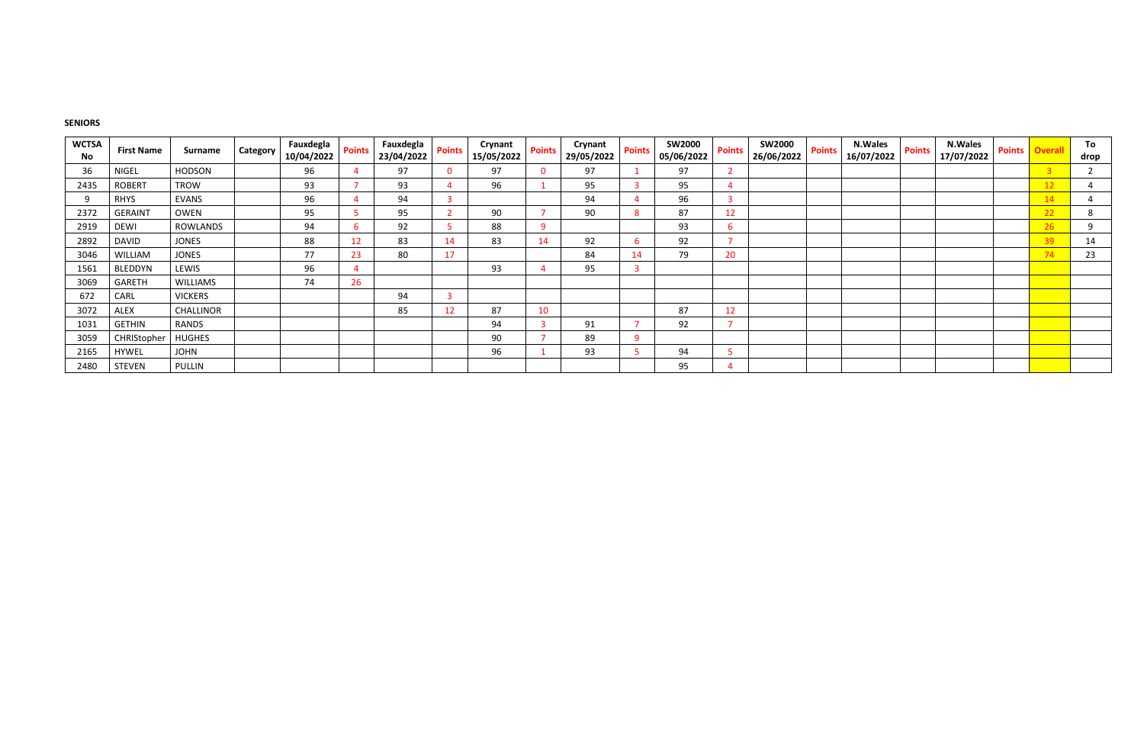#### **SENIORS**

| <b>WCTSA</b><br><b>No</b> | <b>First Name</b> | Surname          | Category | Fauxdegla<br>10/04/2022 | <b>Points</b>   | Fauxdegla<br>23/04/2022 | <b>Points</b> | <b>Crynant</b><br>15/05/2022 | <b>Points</b>            | Crynant<br>29/05/2022 | <b>Points</b> | <b>SW2000</b><br>05/06/2022 | <b>Points</b> | <b>SW2000</b><br>26/06/2022 | <b>Points</b> | <b>N.Wales</b><br>16/07/2022 | <b>Points</b> | <b>N.Wales</b><br>17/07/2022 | <b>Points</b> | <b>Overall</b> | To<br>drop |
|---------------------------|-------------------|------------------|----------|-------------------------|-----------------|-------------------------|---------------|------------------------------|--------------------------|-----------------------|---------------|-----------------------------|---------------|-----------------------------|---------------|------------------------------|---------------|------------------------------|---------------|----------------|------------|
| 36                        | <b>NIGEL</b>      | <b>HODSON</b>    |          | 96                      |                 | 97                      |               | 97                           | $\mathbf{0}$             | 97                    |               | 97                          |               |                             |               |                              |               |                              |               | $\overline{3}$ |            |
| 2435                      | <b>ROBERT</b>     | <b>TROW</b>      |          | 93                      |                 | 93                      |               | 96                           |                          | 95                    |               | 95                          |               |                             |               |                              |               |                              |               | 12             | 4          |
|                           | <b>RHYS</b>       | <b>EVANS</b>     |          | 96                      |                 | 94                      | -3            |                              |                          | 94                    |               | 96                          |               |                             |               |                              |               |                              |               | 14             |            |
| 2372                      | <b>GERAINT</b>    | OWEN             |          | 95                      |                 | 95                      |               | 90                           |                          | 90                    |               | 87                          | 12            |                             |               |                              |               |                              |               | 22             | 8          |
| 2919                      | <b>DEWI</b>       | ROWLANDS         |          | 94                      |                 | 92                      |               | 88                           | 9                        |                       |               | 93                          | h             |                             |               |                              |               |                              |               | 26             | 9          |
| 2892                      | <b>DAVID</b>      | <b>JONES</b>     |          | 88                      | 12              | 83                      | 14            | 83                           | 14                       | 92                    |               | 92                          |               |                             |               |                              |               |                              |               | 39             | 14         |
| 3046                      | WILLIAM           | <b>JONES</b>     |          | 77                      | 23              | 80                      | 17            |                              |                          | 84                    | 14            | 79                          | 20            |                             |               |                              |               |                              |               | 74             | 23         |
| 1561                      | <b>BLEDDYN</b>    | LEWIS            |          | 96                      |                 |                         |               | 93                           |                          | 95                    |               |                             |               |                             |               |                              |               |                              |               |                |            |
| 3069                      | <b>GARETH</b>     | <b>WILLIAMS</b>  |          | 74                      | 26 <sup>2</sup> |                         |               |                              |                          |                       |               |                             |               |                             |               |                              |               |                              |               |                |            |
| 672                       | CARL              | <b>VICKERS</b>   |          |                         |                 | 94                      | -3            |                              |                          |                       |               |                             |               |                             |               |                              |               |                              |               |                |            |
| 3072                      | <b>ALEX</b>       | <b>CHALLINOR</b> |          |                         |                 | 85                      | 12            | 87                           | 10                       |                       |               | 87                          | 12            |                             |               |                              |               |                              |               |                |            |
| 1031                      | <b>GETHIN</b>     | RANDS            |          |                         |                 |                         |               | 94                           | $\overline{3}$           | 91                    |               | 92                          |               |                             |               |                              |               |                              |               |                |            |
| 3059                      | CHRIStopher       | <b>HUGHES</b>    |          |                         |                 |                         |               | 90                           | $\overline{\phantom{a}}$ | 89                    | $\Omega$      |                             |               |                             |               |                              |               |                              |               |                |            |
| 2165                      | <b>HYWEL</b>      | <b>JOHN</b>      |          |                         |                 |                         |               | 96                           |                          | 93                    |               | 94                          |               |                             |               |                              |               |                              |               |                |            |
| 2480                      | <b>STEVEN</b>     | PULLIN           |          |                         |                 |                         |               |                              |                          |                       |               | 95                          |               |                             |               |                              |               |                              |               |                |            |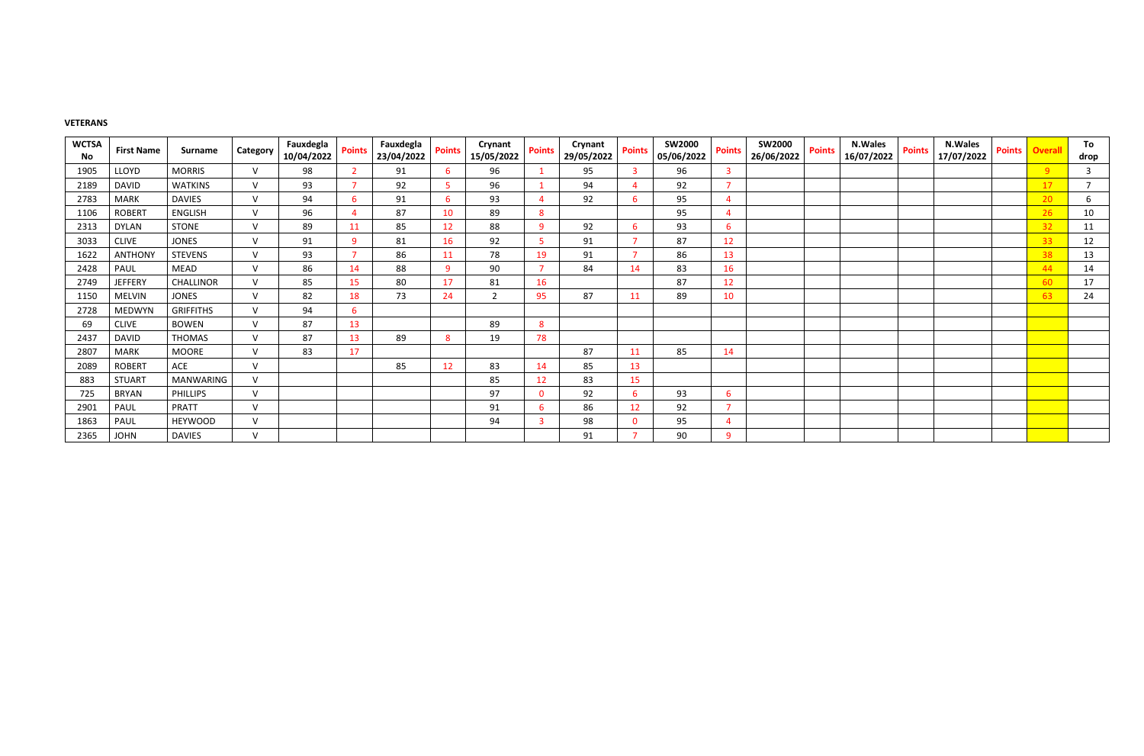#### **VETERANS**

| <b>WCTSA</b> | <b>First Name</b> | Surname          | Category      | Fauxdegla  | <b>Points</b>  | Fauxdegla  | <b>Points</b> | Crynant        | <b>Points</b>  | Crynant    | <b>Points</b>   | <b>SW2000</b> | <b>Points</b>  | <b>SW2000</b> | <b>Points</b> | <b>N.Wales</b> | <b>Points</b> | <b>N.Wales</b> | <b>Points</b> | <b>Overall</b> | To              |
|--------------|-------------------|------------------|---------------|------------|----------------|------------|---------------|----------------|----------------|------------|-----------------|---------------|----------------|---------------|---------------|----------------|---------------|----------------|---------------|----------------|-----------------|
| No           |                   |                  |               | 10/04/2022 |                | 23/04/2022 |               | 15/05/2022     |                | 29/05/2022 |                 | 05/06/2022    |                | 26/06/2022    |               | 16/07/2022     |               | 17/07/2022     |               |                | drop            |
| 1905         | LLOYD             | <b>MORRIS</b>    | $\mathsf{V}$  | 98         | $\overline{2}$ | 91         | -6            | 96             |                | 95         |                 | 96            | -3             |               |               |                |               |                |               | 9 <sup>°</sup> | 3               |
| 2189         | <b>DAVID</b>      | <b>WATKINS</b>   | $\mathcal{U}$ | 93         |                | 92         | -5            | 96             |                | 94         |                 | 92            | $\overline{7}$ |               |               |                |               |                |               | 17             |                 |
| 2783         | <b>MARK</b>       | <b>DAVIES</b>    | $\mathcal{U}$ | 94         | 6              | 91         | -6            | 93             |                | 92         |                 | 95            | -4             |               |               |                |               |                |               | 20             | 6               |
| 1106         | <b>ROBERT</b>     | <b>ENGLISH</b>   | $\mathsf{V}$  | 96         |                | 87         | 10            | 89             | 8              |            |                 | 95            | 4              |               |               |                |               |                |               | 26             | 10 <sup>°</sup> |
| 2313         | <b>DYLAN</b>      | <b>STONE</b>     | $\mathsf{V}$  | 89         | 11             | 85         | 12            | 88             | 9              | 92         | -6              | 93            | 6              |               |               |                |               |                |               | 32             | 11              |
| 3033         | <b>CLIVE</b>      | <b>JONES</b>     | $\vee$        | 91         | 9              | 81         | 16            | 92             | 5.             | 91         |                 | 87            | 12             |               |               |                |               |                |               | 33             | 12              |
| 1622         | <b>ANTHONY</b>    | STEVENS          | $\mathsf{V}$  | 93         | ÷              | 86         | 11            | 78             | 19             | 91         |                 | 86            | 13             |               |               |                |               |                |               | 38             | 13              |
| 2428         | PAUL              | MEAD             | $\mathsf{V}$  | 86         | 14             | 88         | -9            | 90             | $\overline{7}$ | 84         | 14              | 83            | 16             |               |               |                |               |                |               | 44             | 14              |
| 2749         | <b>JEFFERY</b>    | <b>CHALLINOR</b> | $\vee$        | 85         | 15             | 80         | 17            | 81             | 16             |            |                 | 87            | 12             |               |               |                |               |                |               | 60             | 17              |
| 1150         | <b>MELVIN</b>     | <b>JONES</b>     | $\mathsf{V}$  | 82         | 18             | 73         | 24            | $\overline{2}$ | 95             | 87         | 11              | 89            | 10             |               |               |                |               |                |               | 63             | 24              |
| 2728         | <b>MEDWYN</b>     | <b>GRIFFITHS</b> | $\mathsf{V}$  | 94         | 6              |            |               |                |                |            |                 |               |                |               |               |                |               |                |               |                |                 |
| 69           | <b>CLIVE</b>      | <b>BOWEN</b>     | $\mathsf{V}$  | 87         | 13             |            |               | 89             | 8              |            |                 |               |                |               |               |                |               |                |               |                |                 |
| 2437         | <b>DAVID</b>      | <b>THOMAS</b>    | $\mathcal{U}$ | 87         | 13             | 89         | -8            | 19             | 78             |            |                 |               |                |               |               |                |               |                |               |                |                 |
| 2807         | <b>MARK</b>       | <b>MOORE</b>     | $\mathsf{V}$  | 83         | 17             |            |               |                |                | 87         | 11              | 85            | 14             |               |               |                |               |                |               |                |                 |
| 2089         | <b>ROBERT</b>     | ACE              | $\mathsf{V}$  |            |                | 85         | 12            | 83             | 14             | 85         | 13              |               |                |               |               |                |               |                |               |                |                 |
| 883          | <b>STUART</b>     | <b>MANWARING</b> | $\vee$        |            |                |            |               | 85             | 12             | 83         | 15              |               |                |               |               |                |               |                |               |                |                 |
| 725          | <b>BRYAN</b>      | <b>PHILLIPS</b>  | $\vee$        |            |                |            |               | 97             | $\mathbf{0}$   | 92         | -6              | 93            | 6              |               |               |                |               |                |               |                |                 |
| 2901         | PAUL              | PRATT            | $\mathsf{V}$  |            |                |            |               | 91             | 6              | 86         | 12 <sup>2</sup> | 92            | <b>-</b>       |               |               |                |               |                |               |                |                 |
| 1863         | PAUL              | <b>HEYWOOD</b>   | $\vee$        |            |                |            |               | 94             | 3              | 98         | $\Omega$        | 95            | -4             |               |               |                |               |                |               |                |                 |
| 2365         | <b>JOHN</b>       | <b>DAVIES</b>    | $\mathsf{V}$  |            |                |            |               |                |                | 91         |                 | 90            | 9              |               |               |                |               |                |               |                |                 |